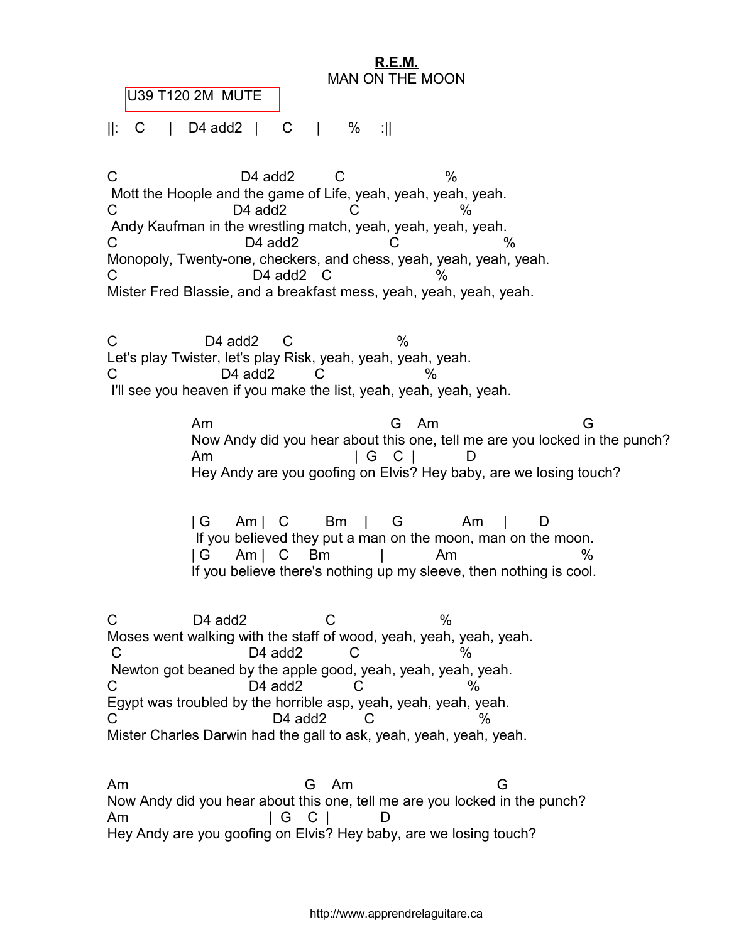

C D4 add2 C % Mott the Hoople and the game of Life, yeah, yeah, yeah, yeah.  $C$  D4 add2  $C$  % Andy Kaufman in the wrestling match, yeah, yeah, yeah, yeah. C D4 add2 C % Monopoly, Twenty-one, checkers, and chess, yeah, yeah, yeah, yeah.  $C$  D4 add2  $C$  % Mister Fred Blassie, and a breakfast mess, yeah, yeah, yeah, yeah.

 $C$  D4 add2  $C$  % Let's play Twister, let's play Risk, yeah, yeah, yeah, yeah.  $C$  D4 add2  $C$  % I'll see you heaven if you make the list, yeah, yeah, yeah, yeah.

> Am G Am G Now Andy did you hear about this one, tell me are you locked in the punch? Am | G C | D Hey Andy are you goofing on Elvis? Hey baby, are we losing touch?

| G Am | C Bm | G Am | D If you believed they put a man on the moon, man on the moon. | G Am | C Bm | Am % If you believe there's nothing up my sleeve, then nothing is cool.

 $C$  D4 add2  $C$  % Moses went walking with the staff of wood, yeah, yeah, yeah, yeah. C D4 add2 C % Newton got beaned by the apple good, yeah, yeah, yeah, yeah. C D4 add2 C % Egypt was troubled by the horrible asp, yeah, yeah, yeah, yeah. C D4 add2 C Mister Charles Darwin had the gall to ask, yeah, yeah, yeah, yeah.

Am G Am G Now Andy did you hear about this one, tell me are you locked in the punch? Am | G C | D Hey Andy are you goofing on Elvis? Hey baby, are we losing touch?